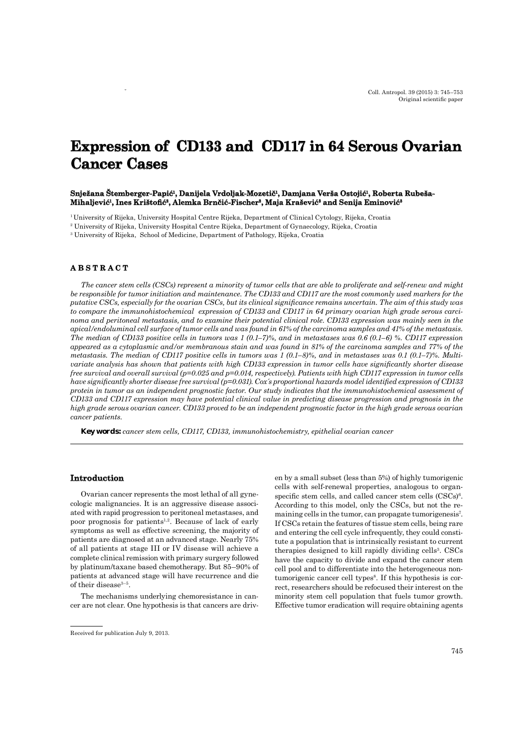# **Expression of CD133 and CD117 in 64 Serous Ovarian Cancer Cases ancer**

## $S$ nježana Štemberger-Papić<sup>i</sup>, Danijela Vrdoljak-Mozetič<sup>i</sup>, Damjana Verša Ostojić<sup>i</sup>, Roberta Rubeša-Mihaljević<sup>1</sup>, Ines Krištofić<sup>2</sup>, Alemka Brnčić-Fischer<sup>2</sup>, Maja Krašević<sup>3</sup> and Senija Eminović<sup>8</sup>

1 University of Rijeka, University Hospital Centre Rijeka, Department of Clinical Cytology, Rijeka, Croatia

2 University of Rijeka, University Hospital Centre Rijeka, Department of Gynaecology, Rijeka, Croatia

3 University of Rijeka, School of Medicine, Department of Pathology, Rijeka, Croatia

## **ABSTRACT B S T R A C T**

*The cancer stem cells (CSCs) represent a minority of tumor cells that are able to proliferate and self-renew and might be responsible for tumor initiation and maintenance. The CD133 and CD117 are the most commonly used markers for the putative CSCs, especially for the ovarian CSCs, but its clinical signifi cance remains uncertain. The aim of this study was to compare the immunohistochemical expression of CD133 and CD117 in 64 primary ovarian high grade serous carcinoma and peritoneal metastasis, and to examine their potential clinical role. CD133 expression was mainly seen in the apical/endoluminal cell surface of tumor cells and was found in 61% of the carcinoma samples and 41% of the metastasis. The median of CD133 positive cells in tumors was 1 (0.1–7)%, and in metastases was 0.6 (0.1–6) %. CD117 expression appeared as a cytoplasmic and/or membranous stain and was found in 81% of the carcinoma samples and 77% of the metastasis. The median of CD117 positive cells in tumors was 1 (0.1–8)%, and in metastases was 0.1 (0.1–7)%. Multivariate analysis has shown that patients with high CD133 expression in tumor cells have significantly shorter disease free survival and overall survival (p=0.025 and p=0.014, respectively). Patients with high CD117 expression in tumor cells have significantly shorter disease free survival (p=0.031). Cox's proportional hazards model identified expression of CD133 protein in tumor as an independent prognostic factor. Our study indicates that the immunohistochemical assessment of CD133 and CD117 expression may have potential clinical value in predicting disease progression and prognosis in the high grade serous ovarian cancer. CD133 proved to be an independent prognostic factor in the high grade serous ovarian cancer patients.*

*Key words: cancer stem cells, CD117, CD133, immunohistochemistry, epithelial ovarian cancer*

#### **Introduction ntroduction**

Ovarian cancer represents the most lethal of all gynecologic malignancies. It is an aggressive disease associated with rapid progression to peritoneal metastases, and poor prognosis for patients<sup>1,2</sup>. Because of lack of early symptoms as well as effective screening, the majority of patients are diagnosed at an advanced stage. Nearly 75% of all patients at stage III or IV disease will achieve a complete clinical remission with primary surgery followed by platinum/taxane based chemotherapy. But 85–90% of patients at advanced stage will have recurrence and die of their disease $3-5$ .

The mechanisms underlying chemoresistance in cancer are not clear. One hypothesis is that cancers are driven by a small subset (less than 5%) of highly tumorigenic cells with self-renewal properties, analogous to organspecific stem cells, and called cancer stem cells  $(CSCs)^6$ . According to this model, only the CSCs, but not the remaining cells in the tumor, can propagate tumorigenesis<sup>7</sup>. If CSCs retain the features of tissue stem cells, being rare and entering the cell cycle infrequently, they could constitute a population that is intrinsically resistant to current therapies designed to kill rapidly dividing cells<sup>3</sup>. CSCs have the capacity to divide and expand the cancer stem cell pool and to differentiate into the heterogeneous nontumorigenic cancer cell types<sup>8</sup>. If this hypothesis is correct, researchers should be refocused their interest on the minority stem cell population that fuels tumor growth. Effective tumor eradication will require obtaining agents

Received for publication July 9, 2013.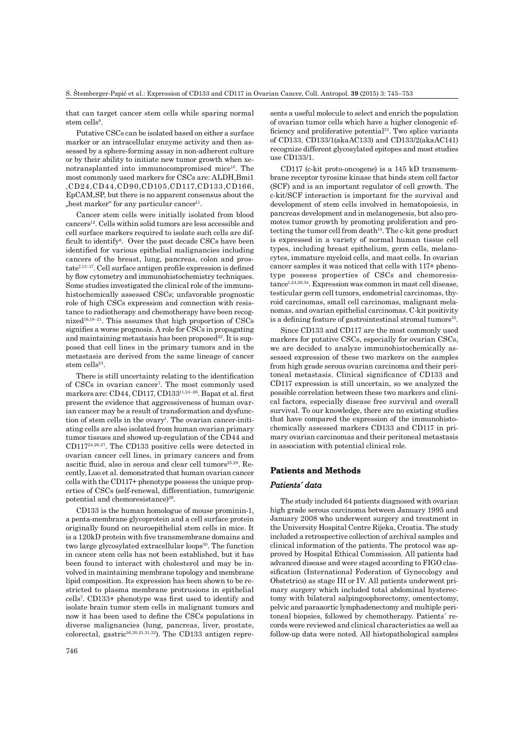that can target cancer stem cells while sparing normal  $stem$   $cells<sup>9</sup>$ .

Putative CSCs can be isolated based on either a surface marker or an intracellular enzyme activity and then assessed by a sphere-forming assay in non-adherent culture or by their ability to initiate new tumor growth when xenotransplanted into immunocompromised mice<sup>10</sup>. The most commonly used markers for CSCs are: ALDH,Bmi1 ,CD24,CD44,CD90,CD105,CD117,CD133,CD166, EpCAM,SP, but there is no apparent consensus about the "best marker" for any particular cancer $11$ .

Cancer stem cells were initially isolated from blood cancers12. Cells within solid tumors are less accessible and cell surface markers required to isolate such cells are difficult to identify $6$ . Over the past decade CSCs have been identified for various epithelial malignancies including cancers of the breast, lung, pancreas, colon and pros $tate^{7,13-17}$ . Cell surface antigen profile expression is defined by flow cytometry and immunohistochemistry techniques. Some studies investigated the clinical role of the immunohistochemically assessed CSCs; unfavorable prognostic role of high CSCs expression and connection with resistance to radiotherapy and chemotherapy have been recognized<sup>16,18–21</sup>. This assumes that high proportion of  $\text{CSCs}$ signifies a worse prognosis. A role for CSCs in propagating and maintaining metastasis has been proposed $^{22}$ . It is supposed that cell lines in the primary tumors and in the metastasis are derived from the same lineage of cancer stem cells $23$ .

There is still uncertainty relating to the identification of CSCs in ovarian cancer7 . The most commonly used markers are: CD44, CD117, CD133<sup>11,24-26</sup>. Bapat et al. first present the evidence that aggressiveness of human ovarian cancer may be a result of transformation and dysfunction of stem cells in the ovary<sup>1</sup>. The ovarian cancer-initiating cells are also isolated from human ovarian primary tumor tissues and showed up-regulation of the CD44 and CD11724,26,27. The CD133 positive cells were detected in ovarian cancer cell lines, in primary cancers and from ascitic fluid, also in serous and clear cell tumors<sup>25,28</sup>. Recently, Luo et al. demonstrated that human ovarian cancer cells with the CD117+ phenotype possess the unique properties of CSCs (self-renewal, differentiation, tumorigenic potential and chemoresistance)<sup>29</sup>.

CD133 is the human homologue of mouse prominin-1, a penta-membrane glycoprotein and a cell surface protein originally found on neuroepithelial stem cells in mice. It is a 120kD protein with five transmembrane domains and two large glycosylated extracellular loops<sup>30</sup>. The function in cancer stem cells has not been established, but it has been found to interact with cholesterol and may be involved in maintaining membrane topology and membrane lipid composition. Its expression has been shown to be restricted to plasma membrane protrusions in epithelial cells<sup>7</sup>. CD133+ phenotype was first used to identify and isolate brain tumor stem cells in malignant tumors and now it has been used to define the CSCs populations in diverse malignancies (lung, pancreas, liver, prostate, colorectal, gastric<sup>16,20,21,31,32</sup>). The CD133 antigen represents a useful molecule to select and enrich the population of ovarian tumor cells which have a higher clonogenic efficiency and proliferative potential<sup>33</sup>. Two splice variants of CD133, CD133/1(akaAC133) and CD133/2(akaAC141) recognize different glycosylated epitopes and most studies use CD133/1.

CD117 (c-kit proto-oncogene) is a 145 kD transmembrane receptor tyrosine kinase that binds stem cell factor (SCF) and is an important regulator of cell growth. The c-kit/SCF interaction is important for the survival and development of stem cells involved in hematopoiesis, in pancreas development and in melanogenesis, but also promotes tumor growth by promoting proliferation and protecting the tumor cell from death $14$ . The c-kit gene product is expressed in a variety of normal human tissue cell types, including breast epithelium, germ cells, melanocytes, immature myeloid cells, and mast cells. In ovarian cancer samples it was noticed that cells with 117+ phenotype possess properties of CSCs and chemoresistance1,24,29,34. Expression was common in mast cell disease, testicular germ cell tumors, endometrial carcinomas, thyroid carcinomas, small cell carcinomas, malignant melanomas, and ovarian epithelial carcinomas. C-kit positivity is a defining feature of gastrointestinal stromal tumors<sup>35</sup>.

Since CD133 and CD117 are the most commonly used markers for putative CSCs, especially for ovarian CSCs, we are decided to analyze immunohistochemically assessed expression of these two markers on the samples from high grade serous ovarian carcinoma and their peritoneal metastasis. Clinical significance of CD133 and CD117 expression is still uncertain, so we analyzed the possible correlation between these two markers and clinical factors, especially disease free survival and overall survival. To our knowledge, there are no existing studies that have compared the expression of the immunohistochemically assessed markers CD133 and CD117 in primary ovarian carcinomas and their peritoneal metastasis in association with potential clinical role.

#### **Patients and Methods atients**

#### *Patients´ data atients´*

The study included 64 patients diagnosed with ovarian high grade serous carcinoma between January 1995 and January 2008 who underwent surgery and treatment in the University Hospital Centre Rijeka, Croatia. The study included a retrospective collection of archival samples and clinical information of the patients. The protocol was approved by Hospital Ethical Commission. All patients had advanced disease and were staged according to FIGO classification (International Federation of Gynecology and Obstetrics) as stage III or IV. All patients underwent primary surgery which included total abdominal hysterectomy with bilateral salpingoophorectomy, omentectomy, pelvic and paraaortic lymphadenectomy and multiple peritoneal biopsies, followed by chemotherapy. Patients´ records were reviewed and clinical characteristics as well as follow-up data were noted. All histopathological samples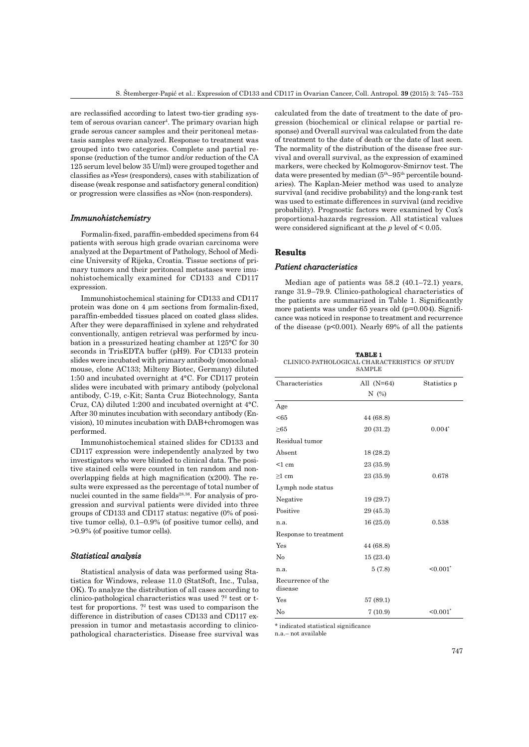are reclassified according to latest two-tier grading system of serous ovarian cancer<sup>4</sup>. The primary ovarian high grade serous cancer samples and their peritoneal metastasis samples were analyzed. Response to treatment was grouped into two categories. Complete and partial response (reduction of the tumor and/or reduction of the CA 125 serum level below 35 U/ml) were grouped together and classifies as »Yes« (responders), cases with stabilization of disease (weak response and satisfactory general condition) or progression were classifies as »No« (non-responders).

### *Immunohistchemistry mmunohistchemistry*

Formalin-fixed, paraffin-embedded specimens from 64 patients with serous high grade ovarian carcinoma were analyzed at the Department of Pathology, School of Medicine University of Rijeka, Croatia. Tissue sections of primary tumors and their peritoneal metastases were imunohistochemically examined for CD133 and CD117 expression.

Immunohistochemical staining for CD133 and CD117 protein was done on  $4 \mu m$  sections from formalin-fixed, paraffin-embedded tissues placed on coated glass slides. After they were deparaffinised in xylene and rehydrated conventionally, antigen retrieval was performed by incubation in a pressurized heating chamber at 125°C for 30 seconds in TrisEDTA buffer (pH9). For CD133 protein slides were incubated with primary antibody (monoclonalmouse, clone AC133; Milteny Biotec, Germany) diluted 1:50 and incubated overnight at 4°C. For CD117 protein slides were incubated with primary antibody (polyclonal antibody, C-19, c-Kit; Santa Cruz Biotechnology, Santa Cruz, CA) diluted 1:200 and incubated overnight at 4°C. After 30 minutes incubation with secondary antibody (Envision), 10 minutes incubation with DAB+chromogen was performed.

Immunohistochemical stained slides for CD133 and CD117 expression were independently analyzed by two investigators who were blinded to clinical data. The positive stained cells were counted in ten random and nonoverlapping fields at high magnification  $(x200)$ . The results were expressed as the percentage of total number of nuclei counted in the same fields<sup>28,36</sup>. For analysis of progression and survival patients were divided into three groups of CD133 and CD117 status: negative (0% of positive tumor cells), 0.1–0.9% (of positive tumor cells), and >0.9% (of positive tumor cells).

### *Statistical analysis tatistical*

Statistical analysis of data was performed using Statistica for Windows, release 11.0 (StatSoft, Inc., Tulsa, OK). To analyze the distribution of all cases according to clinico-pathological characteristics was used ?2 test or ttest for proportions. ?<sup>2</sup> test was used to comparison the difference in distribution of cases CD133 and CD117 expression in tumor and metastasis according to clinicopathological characteristics. Disease free survival was

calculated from the date of treatment to the date of progression (biochemical or clinical relapse or partial response) and Overall survival was calculated from the date of treatment to the date of death or the date of last seen. The normality of the distribution of the disease free survival and overall survival, as the expression of examined markers, were checked by Kolmogorov-Smirnov test. The data were presented by median  $(5<sup>th</sup>-95<sup>th</sup>$  percentile boundaries). The Kaplan-Meier method was used to analyze survival (and recidive probability) and the long-rank test was used to estimate differences in survival (and recidive probability). Prognostic factors were examined by Cox's proportional-hazards regression. All statistical values were considered significant at the  $p$  level of  $\leq 0.05$ .

### **Results**

## *Patient characteristics atient*

Median age of patients was 58.2 (40.1–72.1) years, range 31.9–79.9. Clinico-pathological characteristics of the patients are summarized in Table 1. Significantly more patients was under  $65$  years old ( $p=0.004$ ). Significance was noticed in response to treatment and recurrence of the disease ( $p<0.001$ ). Nearly 69% of all the patients

| <b>TABLE 1</b>                                |  |  |  |  |  |  |
|-----------------------------------------------|--|--|--|--|--|--|
| CLINICO-PATHOLOGICAL CHARACTERISTICS OF STUDY |  |  |  |  |  |  |
| <b>SAMPLE</b>                                 |  |  |  |  |  |  |

| Characteristics              | All $(N=64)$ | Statistics p |
|------------------------------|--------------|--------------|
|                              | N(%)         |              |
| Age                          |              |              |
| < 65                         | 44 (68.8)    |              |
| $\geq 65$                    | 20 (31.2)    | $0.004*$     |
| Residual tumor               |              |              |
| Absent                       | 18 (28.2)    |              |
| < 1 cm                       | 23 (35.9)    |              |
| $\geq1$ cm                   | 23 (35.9)    | 0.678        |
| Lymph node status            |              |              |
| Negative                     | 19 (29.7)    |              |
| Positive                     | 29 (45.3)    |              |
| n.a.                         | 16(25.0)     | 0.538        |
| Response to treatment        |              |              |
| Yes                          | 44 (68.8)    |              |
| No                           | 15(23.4)     |              |
| n.a.                         | 5(7.8)       | $< 0.001$ *  |
| Recurrence of the<br>disease |              |              |
| Yes                          | 57 (89.1)    |              |
| No                           | 7(10.9)      | $< 0.001$ *  |

\* indicated statistical significance

n.a.– not available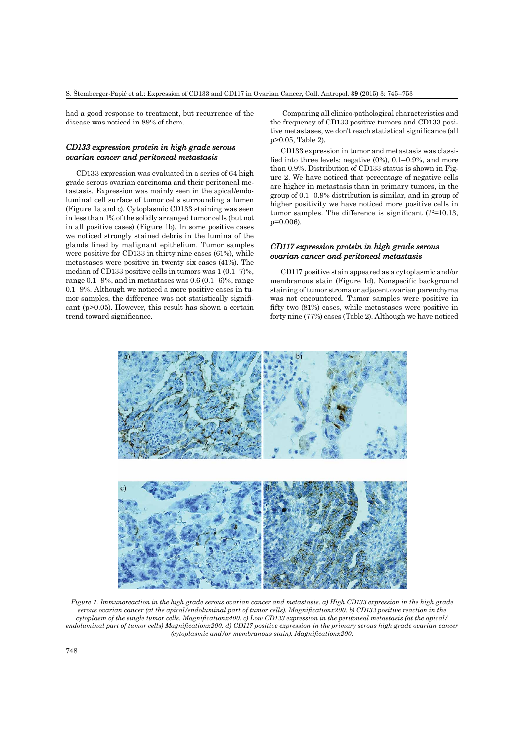had a good response to treatment, but recurrence of the disease was noticed in 89% of them.

## *CD133 expression protein in high grade serous ovarian cancer and peritoneal metastasis varian cancer*

CD133 expression was evaluated in a series of 64 high grade serous ovarian carcinoma and their peritoneal metastasis. Expression was mainly seen in the apical/endoluminal cell surface of tumor cells surrounding a lumen (Figure 1a and c). Cytoplasmic CD133 staining was seen in less than 1% of the solidly arranged tumor cells (but not in all positive cases) (Figure 1b). In some positive cases we noticed strongly stained debris in the lumina of the glands lined by malignant epithelium. Tumor samples were positive for CD133 in thirty nine cases (61%), while metastases were positive in twenty six cases (41%). The median of CD133 positive cells in tumors was 1 (0.1–7)%, range 0.1–9%, and in metastases was 0.6 (0.1–6)%, range 0.1–9%. Although we noticed a more positive cases in tumor samples, the difference was not statistically significant (p>0.05). However, this result has shown a certain trend toward significance.

 Comparing all clinico-pathological characteristics and the frequency of CD133 positive tumors and CD133 positive metastases, we don't reach statistical significance (all p>0.05, Table 2).

CD133 expression in tumor and metastasis was classified into three levels: negative  $(0\%)$ , 0.1–0.9%, and more than 0.9%. Distribution of CD133 status is shown in Figure 2. We have noticed that percentage of negative cells are higher in metastasis than in primary tumors, in the group of 0.1–0.9% distribution is similar, and in group of higher positivity we have noticed more positive cells in tumor samples. The difference is significant  $(?^{2}=10.13,$ p=0.006).

## *CD117 expression protein in high grade serous ovarian cancer and peritoneal metastasis*

CD117 positive stain appeared as a cytoplasmic and/or membranous stain (Figure 1d). Nonspecific background staining of tumor stroma or adjacent ovarian parenchyma was not encountered. Tumor samples were positive in fifty two  $(81%)$  cases, while metastases were positive in forty nine (77%) cases (Table 2). Although we have noticed



*Figure 1. Immunoreaction in the high grade serous ovarian cancer and metastasis. a) High CD133 expression in the high grade serous ovarian cancer (at the apical/endoluminal part of tumor cells). Magnifi cationx200. b) CD133 positive reaction in the cytoplasm of the single tumor cells. Magnificationx400. c) Low CD133 expression in the peritoneal metastasis (at the apical/ endoluminal part of tumor cells) Magnificationx200. d) CD117 positive expression in the primary serous high grade ovarian cancer (cytoplasmic and/or membranous stain). Magnificationx200.*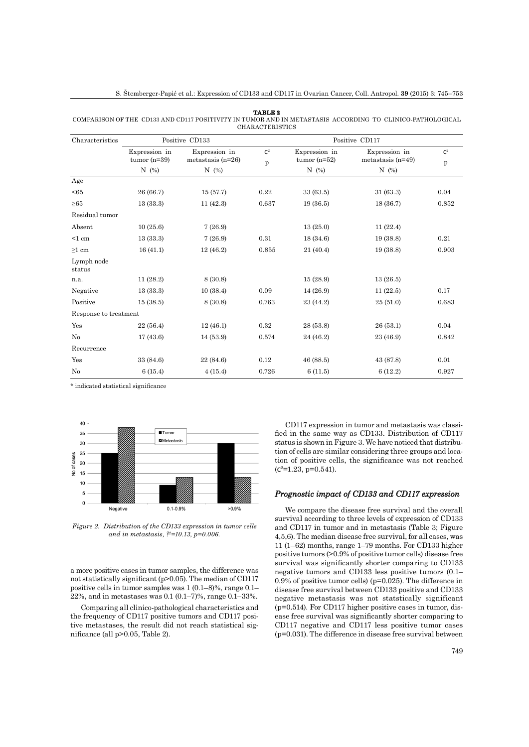#### **TABLE 2**

COMPARISON OF THE CD133 AND CD117 POSITIVITY IN TUMOR AND IN METASTASIS ACCORDING TO CLINICO-PATHOLOGICAL CHARACTERISTICS

| Characteristics       |                                 | Positive CD133                       | Positive CD117      |                                 |                                      |                     |
|-----------------------|---------------------------------|--------------------------------------|---------------------|---------------------------------|--------------------------------------|---------------------|
|                       | Expression in<br>tumor $(n=39)$ | Expression in<br>metastasis $(n=26)$ | $\mathrm{c}^2$<br>p | Expression in<br>tumor $(n=52)$ | Expression in<br>metastasis $(n=49)$ | $\mathbf{C}^2$<br>p |
|                       | N $(\%)$                        | $N$ (%)                              |                     | $N$ (%)                         | N $(\%)$                             |                     |
| Age                   |                                 |                                      |                     |                                 |                                      |                     |
| < 65                  | 26 (66.7)                       | 15(57.7)                             | 0.22                | 33 (63.5)                       | 31(63.3)                             | 0.04                |
| ${\geq}65$            | 13(33.3)                        | 11(42.3)                             | 0.637               | 19(36.5)                        | 18(36.7)                             | 0.852               |
| Residual tumor        |                                 |                                      |                     |                                 |                                      |                     |
| Absent                | 10(25.6)                        | 7(26.9)                              |                     | 13(25.0)                        | 11(22.4)                             |                     |
| $<1$ cm               | 13(33.3)                        | 7(26.9)                              | 0.31                | 18(34.6)                        | 19(38.8)                             | 0.21                |
| $\geq1$ cm            | 16(41.1)                        | 12(46.2)                             | 0.855               | 21 (40.4)                       | 19(38.8)                             | 0.903               |
| Lymph node<br>status  |                                 |                                      |                     |                                 |                                      |                     |
| n.a.                  | 11(28.2)                        | 8 (30.8)                             |                     | 15(28.9)                        | 13(26.5)                             |                     |
| Negative              | 13(33.3)                        | 10(38.4)                             | 0.09                | 14(26.9)                        | 11(22.5)                             | 0.17                |
| Positive              | 15(38.5)                        | 8 (30.8)                             | 0.763               | 23 (44.2)                       | 25(51.0)                             | 0.683               |
| Response to treatment |                                 |                                      |                     |                                 |                                      |                     |
| Yes                   | 22(56.4)                        | 12(46.1)                             | 0.32                | 28 (53.8)                       | 26 (53.1)                            | 0.04                |
| $\rm No$              | 17(43.6)                        | 14(53.9)                             | 0.574               | 24 (46.2)                       | 23 (46.9)                            | 0.842               |
| Recurrence            |                                 |                                      |                     |                                 |                                      |                     |
| Yes                   | 33 (84.6)                       | 22 (84.6)                            | 0.12                | 46 (88.5)                       | 43 (87.8)                            | 0.01                |
| No                    | 6(15.4)                         | 4(15.4)                              | 0.726               | 6(11.5)                         | 6(12.2)                              | 0.927               |

\* indicated statistical significance



*Figure 2. Distribution of the CD133 expression in tumor cells and in metastasis, ?2=10.13, p=0.006.*

a more positive cases in tumor samples, the difference was not statistically significant ( $p>0.05$ ). The median of CD117 positive cells in tumor samples was 1 (0.1–8)%, range 0.1– 22%, and in metastases was 0.1 (0.1–7)%, range 0.1–33%.

Comparing all clinico-pathological characteristics and the frequency of CD117 positive tumors and CD117 positive metastases, the result did not reach statistical significance (all  $p>0.05$ , Table 2).

CD117 expression in tumor and metastasis was classified in the same way as CD133. Distribution of CD117 status is shown in Figure 3. We have noticed that distribution of cells are similar considering three groups and location of positive cells, the significance was not reached  $(c^2=1.23, p=0.541).$ 

## *Prognostic impact of CD133 and CD117 expression*

We compare the disease free survival and the overall survival according to three levels of expression of CD133 and CD117 in tumor and in metastasis (Table 3; Figure 4,5,6). The median disease free survival, for all cases, was 11 (1–62) months, range 1–79 months. For CD133 higher positive tumors (>0.9% of positive tumor cells) disease free survival was significantly shorter comparing to CD133 negative tumors and CD133 less positive tumors (0.1– 0.9% of positive tumor cells) (p=0.025). The difference in disease free survival between CD133 positive and CD133 negative metastasis was not statstically significant  $(p=0.514)$ . For CD117 higher positive cases in tumor, disease free survival was significantly shorter comparing to CD117 negative and CD117 less positive tumor cases  $(p=0.031)$ . The difference in disease free survival between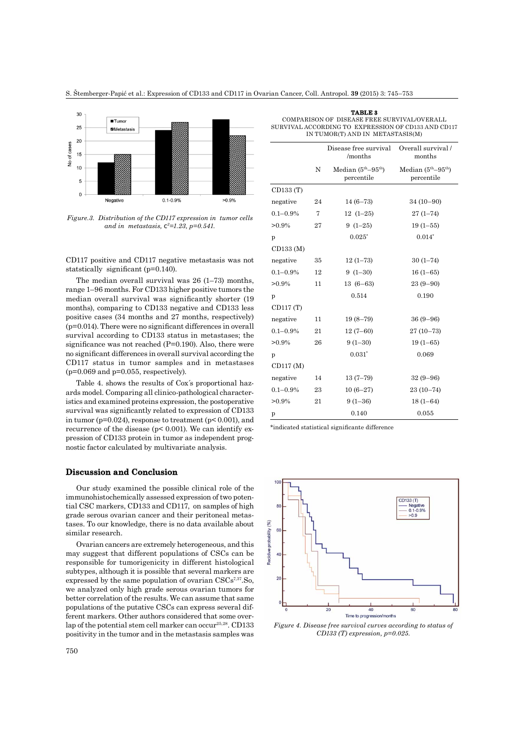S. Štemberger-Papić et al.: Expression of CD133 and CD117 in Ovarian Cancer, Coll. Antropol. **39** (2015) 3: 745–753



*Figure.3. Distribution of the CD117 expression in tumor cells and in metastasis, c2=1.23, p=0.541.*

CD117 positive and CD117 negative metastasis was not statstically significant ( $p=0.140$ ).

The median overall survival was 26 (1–73) months, range 1–96 months. For CD133 higher positive tumors the median overall survival was significantly shorter (19 months), comparing to CD133 negative and CD133 less positive cases (34 months and 27 months, respectively)  $(p=0.014)$ . There were no significant differences in overall survival according to CD133 status in metastases; the significance was not reached  $(P=0.190)$ . Also, there were no significant differences in overall survival according the CD117 status in tumor samples and in metastases  $(p=0.069$  and  $p=0.055$ , respectively).

Table 4. shows the results of Cox´s proportional hazards model. Comparing all clinico-pathological characteristics and examined proteins expression, the postoperative survival was significantly related to expression of CD133 in tumor ( $p=0.024$ ), response to treatment ( $p<0.001$ ), and recurrence of the disease ( $p$ < 0.001). We can identify expression of CD133 protein in tumor as independent prognostic factor calculated by multivariate analysis.

### **Discussion and Conclusion iscussion**

Our study examined the possible clinical role of the immunohistochemically assessed expression of two potential CSC markers, CD133 and CD117, on samples of high grade serous ovarian cancer and their peritoneal metastases. To our knowledge, there is no data available about similar research.

Ovarian cancers are extremely heterogeneous, and this may suggest that different populations of CSCs can be responsible for tumorigenicity in different histological subtypes, although it is possible that several markers are expressed by the same population of ovarian  $\text{CSCs}^{7,37}$ . So, we analyzed only high grade serous ovarian tumors for better correlation of the results. We can assume that same populations of the putative CSCs can express several different markers. Other authors considered that some overlap of the potential stem cell marker can occur<sup>25,28</sup>. CD133 positivity in the tumor and in the metastasis samples was

| TABLE 3                                             |  |  |  |  |
|-----------------------------------------------------|--|--|--|--|
| COMPARISON OF DISEASE FREE SURVIVAL/OVERALL         |  |  |  |  |
| SURVIVAL ACCORDING TO EXPRESSION OF CD133 AND CD117 |  |  |  |  |
| IN TUMOR(T) AND IN METASTASIS(M)                    |  |  |  |  |

|               |    | Disease free survival<br>/months  | Overall survival /<br>months      |  |  |
|---------------|----|-----------------------------------|-----------------------------------|--|--|
|               | N  | Median $(5th-95th)$<br>percentile | Median $(5th-95th)$<br>percentile |  |  |
| CD133 (T)     |    |                                   |                                   |  |  |
| negative      | 24 | $14(6-73)$                        | $34(10-90)$                       |  |  |
| $0.1 - 0.9\%$ | 7  | $12(1-25)$                        | $27(1 - 74)$                      |  |  |
| $>0.9\%$      | 27 | $9(1-25)$                         | $19(1 - 55)$                      |  |  |
| p             |    | $0.025*$                          | $0.014*$                          |  |  |
| CD133 (M)     |    |                                   |                                   |  |  |
| negative      | 35 | $12(1-73)$                        | $30(1-74)$                        |  |  |
| $0.1 - 0.9\%$ | 12 | $9(1-30)$                         | $16(1-65)$                        |  |  |
| $>0.9\%$      | 11 | $13(6-63)$                        | $23(9-90)$                        |  |  |
| p             |    | 0.514                             | 0.190                             |  |  |
| CD117 (T)     |    |                                   |                                   |  |  |
| negative      | 11 | $19(8-79)$                        | $36(9 - 96)$                      |  |  |
| $0.1 - 0.9\%$ | 21 | $12(7-60)$                        | $27(10-73)$                       |  |  |
| $>0.9\%$      | 26 | $9(1-30)$                         | $19(1 - 65)$                      |  |  |
| p             |    | $0.031*$                          | 0.069                             |  |  |
| CD117 (M)     |    |                                   |                                   |  |  |
| negative      | 14 | $13(7-79)$                        | $32(9-96)$                        |  |  |
| $0.1 - 0.9\%$ | 23 | $10(6-27)$                        | $23(10-74)$                       |  |  |
| $>0.9\%$      | 21 | $9(1-36)$                         | $18(1-64)$                        |  |  |
| p             |    | 0.140                             | 0.055                             |  |  |
|               |    |                                   |                                   |  |  |

\*indicated statistical significante difference



*Figure 4. Disease free survival curves according to status of CD133 (T) expression, p=0.025.*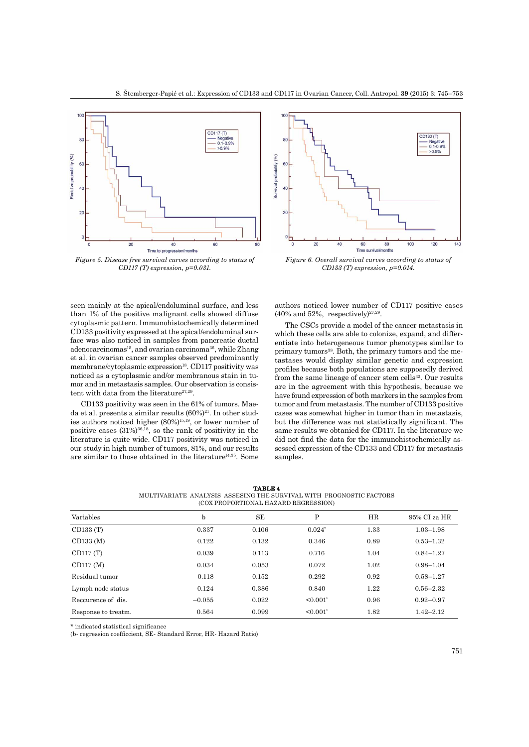

*Figure 5. Disease free survival curves according to status of CD117 (T) expression, p=0.031.*

seen mainly at the apical/endoluminal surface, and less than 1% of the positive malignant cells showed diffuse cytoplasmic pattern. Immunohistochemically determined CD133 positivity expressed at the apical/endoluminal surface was also noticed in samples from pancreatic ductal adenocarcinomas<sup>15</sup>, and ovarian carcinoma<sup>36</sup>, while Zhang et al. in ovarian cancer samples observed predominantly membrane/cytoplasmic expression<sup>18</sup>. CD117 positivity was noticed as a cytoplasmic and/or membranous stain in tumor and in metastasis samples. Our observation is consistent with data from the literature $27,29$ .

CD133 positivity was seen in the 61% of tumors. Maeda et al. presents a similar results  $(60\%)^{21}$ . In other studies authors noticed higher (80%)15,19, or lower number of positive cases  $(31\%)^{36,18}$ , so the rank of positivity in the literature is quite wide. CD117 positivity was noticed in our study in high number of tumors, 81%, and our results are similar to those obtained in the literature<sup>14,35</sup>. Some



*Figure 6. Overall survival curves according to status of CD133 (T) expression, p=0.014.*

authors noticed lower number of CD117 positive cases  $(40\% \text{ and } 52\%, \text{ respectively})^{27,29}.$ 

The CSCs provide a model of the cancer metastasis in which these cells are able to colonize, expand, and differentiate into heterogeneous tumor phenotypes similar to primary tumors<sup>38</sup>. Both, the primary tumors and the metastases would display similar genetic and expression profi les because both populations are supposedly derived from the same lineage of cancer stem cells $32$ . Our results are in the agreement with this hypothesis, because we have found expression of both markers in the samples from tumor and from metastasis. The number of CD133 positive cases was somewhat higher in tumor than in metastasis, but the difference was not statistically significant. The same results we obtanied for CD117. In the literature we did not find the data for the immunohistochemically assessed expression of the CD133 and CD117 for metastasis samples.

| <b>TABLE 4</b>                                                      |  |  |                                      |  |  |  |
|---------------------------------------------------------------------|--|--|--------------------------------------|--|--|--|
| MULTIVARIATE_ANALYSIS_ASSESING THE SURVIVAL WITH_PROGNOSTIC FACTORS |  |  |                                      |  |  |  |
|                                                                     |  |  | (COX PROPORTIONAL HAZARD REGRESSION) |  |  |  |

| Variables           | $\mathbf b$ | <b>SE</b> | Ρ              | HR   | 95% CI za HR  |
|---------------------|-------------|-----------|----------------|------|---------------|
| CD133(T)            | 0.337       | 0.106     | $0.024*$       | 1.33 | $1.03 - 1.98$ |
| CD133(M)            | 0.122       | 0.132     | 0.346          | 0.89 | $0.53 - 1.32$ |
| CD117(T)            | 0.039       | 0.113     | 0.716          | 1.04 | $0.84 - 1.27$ |
| CD117(M)            | 0.034       | 0.053     | 0.072          | 1.02 | $0.98 - 1.04$ |
| Residual tumor      | 0.118       | 0.152     | 0.292          | 0.92 | $0.58 - 1.27$ |
| Lymph node status   | 0.124       | 0.386     | 0.840          | 1.22 | $0.56 - 2.32$ |
| Reccurence of dis.  | $-0.055$    | 0.022     | $\leq 0.001$ * | 0.96 | $0.92 - 0.97$ |
| Response to treatm. | 0.564       | 0.099     | $\leq 0.001^*$ | 1.82 | $1.42 - 2.12$ |

\* indicated statistical significance

(b- regression coefficcient, SE- Standard Error, HR- Hazard Ratio)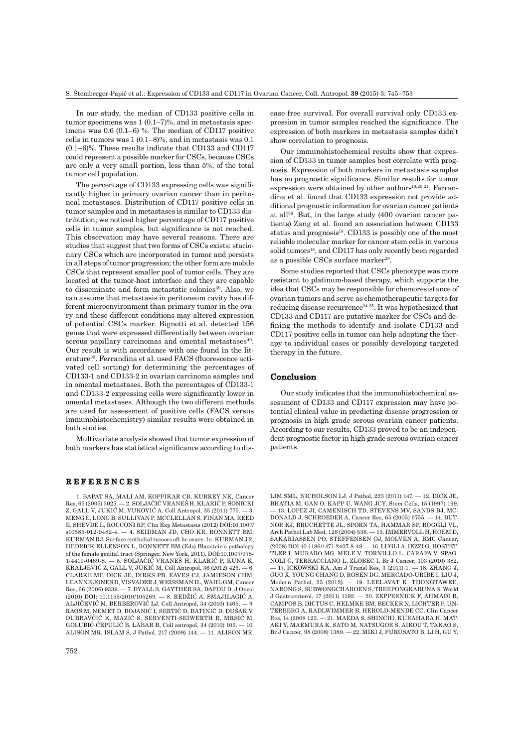In our study, the median of CD133 positive cells in tumor specimens was 1 (0.1–7)%, and in metastasis specimens was 0.6 (0.1–6) %. The median of CD117 positive cells in tumors was 1 (0.1–8)%, and in metastasis was 0.1 (0.1–6)%. These results indicate that CD133 and CD117 could represent a possible marker for CSCs, because CSCs are only a very small portion, less than 5%, of the total tumor cell population.

The percentage of CD133 expressing cells was significantly higher in primary ovarian cancer than in peritoneal metastases. Distribution of CD117 positive cells in tumor samples and in metastases is similar to CD133 distribution; we noticed higher percentage of CD117 positive cells in tumor samples, but significance is not reached. This observation may have several reasons. There are studies that suggest that two forms of CSCs exists: stacionary CSCs which are incorporated in tumor and persists in all steps of tumor progression; the other form are mobile CSCs that represent smaller pool of tumor cells. They are located at the tumor-host interface and they are capable to disseminate and form metastatic colonies<sup>39</sup>. Also, we can assume that metastasis in peritoneum cavity has different microenvironment than primary tumor in the ovary and these different conditions may altered expression of potential CSCs marker. Bignotti et al. detected 156 genes that were expressed differentially between ovarian serous papillary carcinomas and omental metastases<sup>40</sup>. Our result is with accordance with one found in the literature<sup>33</sup>. Ferrandina et al. used FACS (fluorescence activated cell sorting) for determining the percentages of CD133-1 and CD133-2 in ovarian carcinoma samples and in omental metastases. Both the percentages of CD133-1 and CD133-2 expressing cells were significantly lower in omental metastases. Although the two different methods are used for assessment of positive cells (FACS versus immunohistochemistry) similar results were obtained in both studies.

Multivariate analysis showed that tumor expression of both markers has statistical significance according to dis-

## **REFERENCES E F E R E N C E S**

1. BAPAT SA, MALI AM, KOPPIKAR CB, KURREY NK, Cancer Res, 65 (2005) 3025. — 2. SOLJAČIĆ VRANEŠ H, KLARIĆ P, SONICKI Z, GALL V, JUKIĆ M, VUKOVIĆ A, Coll Antropol, 35 (2011) 775. — 3. MENG E, LONG B, SULLIVAN P, MCCLELLAN S, FINAN MA, REED E, SHEVDE L, ROCCONI RP, Clin Exp Metastasis (2012) DOI:10.1007/ s10585-012-9482-4. — 4. SEIDMAN JD, CHO KR, RONNETT BM, KURMAN RJ, Surface epithelial tumors oft he ovary. In: KURMAN JR, HEDRICK ELLENSON L, RONNETT BM (Eds) Blaustein´s pathology of the female genital tract (Springer, New York, 2011). DOI:10.1007/978- 1-4419-0489-8. — 5. SOLJAČIĆ VRANEŠ H, KLARIĆ P, KUNA K, KRALJEVIĆ Z, GALL V, JUKIĆ M, Coll Antropol, 36 (2012) 425. — 6. CLARKE MF, DICK JE, DIRKS PB, EAVES CJ, JAMIESON CHM, LEANNE JONES D, VISVADER J, WEISSMAN IL, WAHL GM, Cancer Res, 66 (2006) 9339. — 7. DYALL S, GAYTHER SA, DAFOU D, J Oncol (2010) DOI: 10.1155/2010/105269. — 8. REDŽIĆ A, SMAJILAGIĆ A, ALJIČEVIĆ M, BERBEROVIĆ LJ, Coll Antropol, 34 (2010) 1405. — 9. RAOS M, NEMET D, BOJANIĆ I, SERTIĆ D, BATINIĆ D, DUŠAK V, DUBRAVČIĆ K, MAZIĆ S, SERVENTI-SEIWERTH R, MRSIĆ M, GOLUBIĆ-ĆEPULIĆ B, LABAR B, Coll antropol, 34 (2010) 105. — 10. ALISON MR, ISLAM S, J Pathol, 217 (2009) 144. — 11. ALISON MR, ease free survival. For overall survival only CD133 expression in tumor samples reached the significance. The expression of both markers in metastasis samples didn`t show correlation to prognosis.

Our immunohistochemical results show that expression of CD133 in tumor samples best correlate with prognosis. Expression of both markers in metastasis samples has no prognostic significance. Similar results for tumor expression were obtained by other authors<sup>18,20,21</sup>. Ferrandina et al. found that CD133 expression not provide additional prognostic information for ovarian cancer patients at all36. But, in the large study (400 ovarian cancer patients) Zang et al. found an association between CD133 status and prognosis<sup>18</sup>. CD133 is possibly one of the most reliable molecular marker for cancer stem cells in various solid tumors<sup>18</sup>, and CD117 has only recently been regarded as a possible CSCs surface marker<sup>29</sup>.

Some studies reported that CSCs phenotype was more resistant to platinum-based therapy, which supports the idea that CSCs may be responsible for chemoresistance of ovarian tumors and serve as chemotherapeutic targets for reducing disease recurrence<sup>24,25</sup>. It was hypothesized that CD133 and CD117 are putative marker for CSCs and defining the methods to identify and isolate CD133 and CD117 positive cells in tumor can help adapting the therapy to individual cases or possibly developing targeted therapy in the future.

## **Conclusion onclusion**

Our study indicates that the immunohistochemical assessment of CD133 and CD117 expression may have potential clinical value in predicting disease progression or prognosis in high grade serous ovarian cancer patients. According to our results, CD133 proved to be an independent prognostic factor in high grade serous ovarian cancer patients.

LIM SML, NICHOLSON LJ, J Pathol, 223 (2011) 147. — 12. DICK JE, BHATIA M, GAN O, KAPP U, WANG JCY, Stem Cells, 15 (1997) 199. — 13. LOPEZ JI, CAMENISCH TD, STEVENS MV, SANDS BJ, MC-DONALD J, SCHROEDER A, Cancer Res, 65 (2005) 6755. — 14. BUT-NOR KJ, BRUCHETTE JL, SPORN TA, HAMMAR SP, ROGGLI VL, Arch Pathol Lab Med, 128 (2004) 538. — 15. IMMERVOLL H, HOEM D, SAKARIASSEN PO, STEFFENSEN OJ, MOLVEN A, BMC Cancer, (2008) DOI:10.1186/1471-2407-8-48. — 16. LUGLI A, IEZZI G, HOSTET-TLER I, MURARO MG, MELE V, TORNILLO L, CARAFA V, SPAG-NOLI G, TERRACCIANO L, ZLOBEC I, Br J Cancer, 103 (2010) 382. — 17. ICKOWSKI KA, Am J Transl Res, 3 (2011) 1. — 18. ZHANG J, GUO X, YOUNG CHANG D, ROSEN DG, MERCADO-URIBE I, LIU J, Modern Pathol, 25 (2012). — 19. LEELAVAT K, THONGTAWEE, NARONG S, SUBWONGCHAROEN S, TREEPONGKARUNA S, World J Gastroenterol, 17 (2011) 1192. — 20. ZEPPERNICK F, AHMADI R, CAMPOS B, DICTUS C, HELMKE BM, BECKER N, LICHTER P, UN-TERBERG A, RADLWIMMER B, HEROLD-MENDE CC, Clin Cancer Res, 14 (2008 123. — 21. MAEDA S, SHINCHI, KURAHARA H, MAT-AKI Y, MAEMURA K, SATO M, NATSUGOE S, AIKOU T, TAKAO S, Br J Cancer, 98 (2008) 1389. — 22. MIKI J, FURUSATO B, LI H, GU Y,